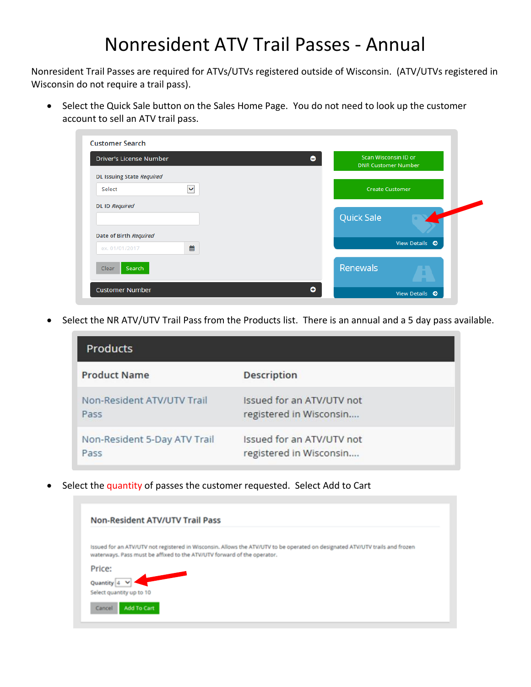## Nonresident ATV Trail Passes - Annual

Nonresident Trail Passes are required for ATVs/UTVs registered outside of Wisconsin. (ATV/UTVs registered in Wisconsin do not require a trail pass).

• Select the Quick Sale button on the Sales Home Page. You do not need to look up the customer account to sell an ATV trail pass.

| <b>Driver's License Number</b>   |              | Scan Wisconsin ID or<br>۰<br><b>DNR Customer Number</b> |
|----------------------------------|--------------|---------------------------------------------------------|
| <b>DL Issuing State Required</b> |              |                                                         |
| Select                           | $\checkmark$ | <b>Create Customer</b>                                  |
| <b>DL ID Required</b>            |              |                                                         |
|                                  |              | <b>Quick Sale</b>                                       |
| Date of Birth Required           |              |                                                         |
| ex. 01/01/2017                   | 雦            | View Details $\bullet$                                  |
|                                  |              |                                                         |
| Clear<br>Search                  |              | Renewals                                                |
|                                  |              |                                                         |
| <b>Customer Number</b>           |              | ۰<br>View Details $\bullet$                             |

• Select the NR ATV/UTV Trail Pass from the Products list. There is an annual and a 5 day pass available.

| <b>Products</b>              |                           |  |  |  |
|------------------------------|---------------------------|--|--|--|
| <b>Product Name</b>          | <b>Description</b>        |  |  |  |
| Non-Resident ATV/UTV Trail   | Issued for an ATV/UTV not |  |  |  |
| Pass                         | registered in Wisconsin   |  |  |  |
| Non-Resident 5-Day ATV Trail | Issued for an ATV/UTV not |  |  |  |
| Pass                         | registered in Wisconsin   |  |  |  |

• Select the quantity of passes the customer requested. Select Add to Cart

|                                                  | <b>Non-Resident ATV/UTV Trail Pass</b>                                                                                                                                                                  |
|--------------------------------------------------|---------------------------------------------------------------------------------------------------------------------------------------------------------------------------------------------------------|
|                                                  | Issued for an ATV/UTV not registered in Wisconsin. Allows the ATV/UTV to be operated on designated ATV/UTV trails and frozen<br>waterways. Pass must be affixed to the ATV/UTV forward of the operator. |
| Price:<br>Quantity 4<br>Select quantity up to 10 |                                                                                                                                                                                                         |
| Add To Cart<br>Cancel                            |                                                                                                                                                                                                         |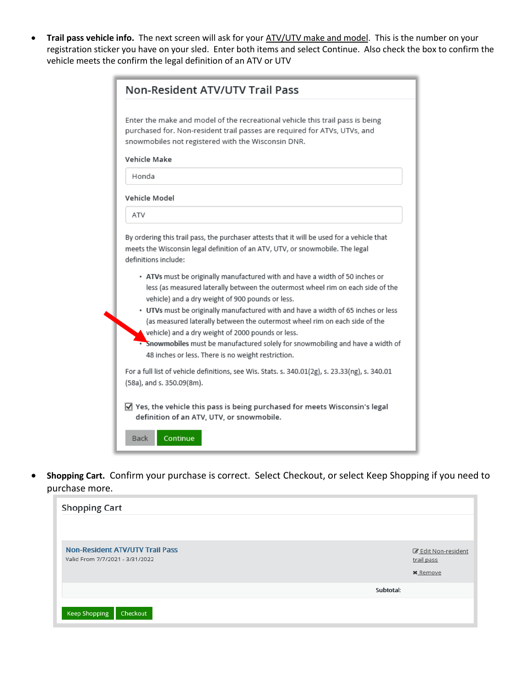• **Trail pass vehicle info.** The next screen will ask for your ATV/UTV make and model. This is the number on your registration sticker you have on your sled. Enter both items and select Continue. Also check the box to confirm the vehicle meets the confirm the legal definition of an ATV or UTV

| <b>Non-Resident ATV/UTV Trail Pass</b>                                                                                                                                                                                                                                                                                                                                                                                                                                                                                                                                                                                                                                                                                                                                                     |  |  |
|--------------------------------------------------------------------------------------------------------------------------------------------------------------------------------------------------------------------------------------------------------------------------------------------------------------------------------------------------------------------------------------------------------------------------------------------------------------------------------------------------------------------------------------------------------------------------------------------------------------------------------------------------------------------------------------------------------------------------------------------------------------------------------------------|--|--|
| Enter the make and model of the recreational vehicle this trail pass is being<br>purchased for. Non-resident trail passes are required for ATVs, UTVs, and<br>snowmobiles not registered with the Wisconsin DNR.<br>Vehicle Make                                                                                                                                                                                                                                                                                                                                                                                                                                                                                                                                                           |  |  |
| Honda                                                                                                                                                                                                                                                                                                                                                                                                                                                                                                                                                                                                                                                                                                                                                                                      |  |  |
| Vehicle Model                                                                                                                                                                                                                                                                                                                                                                                                                                                                                                                                                                                                                                                                                                                                                                              |  |  |
| ATV                                                                                                                                                                                                                                                                                                                                                                                                                                                                                                                                                                                                                                                                                                                                                                                        |  |  |
| By ordering this trail pass, the purchaser attests that it will be used for a vehicle that<br>meets the Wisconsin legal definition of an ATV, UTV, or snowmobile. The legal<br>definitions include:<br>• ATVs must be originally manufactured with and have a width of 50 inches or<br>less (as measured laterally between the outermost wheel rim on each side of the<br>vehicle) and a dry weight of 900 pounds or less.<br>• UTVs must be originally manufactured with and have a width of 65 inches or less<br>(as measured laterally between the outermost wheel rim on each side of the<br>vehicle) and a dry weight of 2000 pounds or less.<br>. Snowmobiles must be manufactured solely for snowmobiling and have a width of<br>48 inches or less. There is no weight restriction. |  |  |
| For a full list of vehicle definitions, see Wis. Stats. s. 340.01(2g), s. 23.33(ng), s. 340.01<br>(58a), and s. 350.09(8m).                                                                                                                                                                                                                                                                                                                                                                                                                                                                                                                                                                                                                                                                |  |  |
| $\mathbf{Z}$ Yes, the vehicle this pass is being purchased for meets Wisconsin's legal<br>definition of an ATV, UTV, or snowmobile.                                                                                                                                                                                                                                                                                                                                                                                                                                                                                                                                                                                                                                                        |  |  |
| Back<br>Continue                                                                                                                                                                                                                                                                                                                                                                                                                                                                                                                                                                                                                                                                                                                                                                           |  |  |

• **Shopping Cart.** Confirm your purchase is correct. Select Checkout, or select Keep Shopping if you need to purchase more.